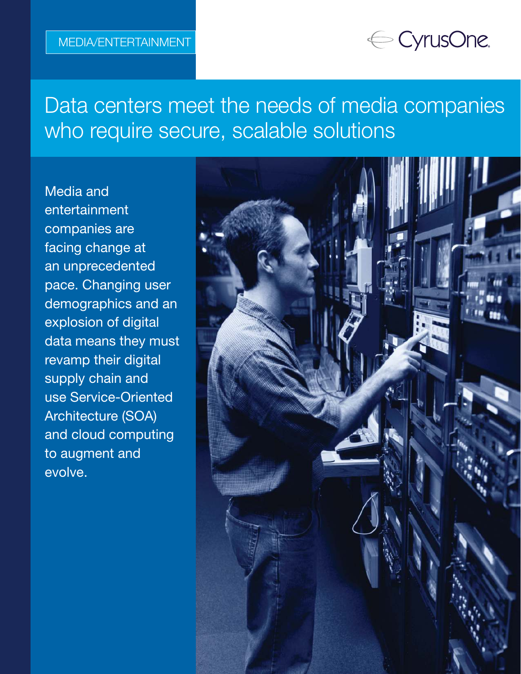# ← CyrusOne.

Data centers meet the needs of media companies who require secure, scalable solutions

Media and entertainment companies are facing change at an unprecedented pace. Changing user demographics and an explosion of digital data means they must revamp their digital supply chain and use Service-Oriented Architecture (SOA) and cloud computing to augment and evolve.

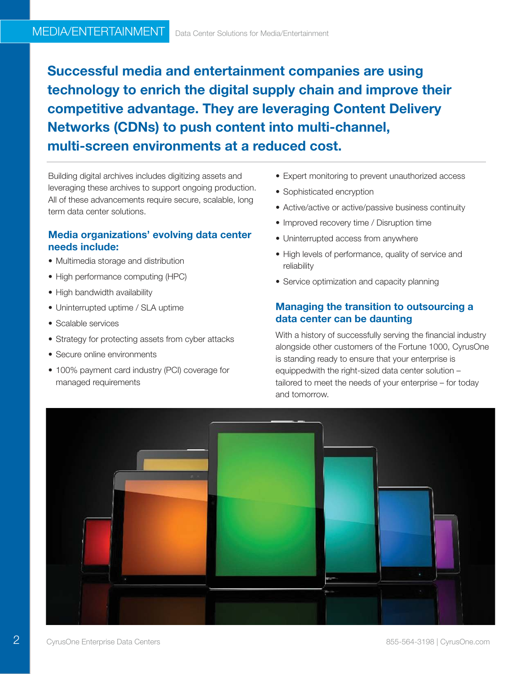Successful media and entertainment companies are using technology to enrich the digital supply chain and improve their competitive advantage. They are leveraging Content Delivery Networks (CDNs) to push content into multi-channel, multi-screen environments at a reduced cost.

Building digital archives includes digitizing assets and leveraging these archives to support ongoing production. All of these advancements require secure, scalable, long term data center solutions.

# Media organizations' evolving data center needs include:

- Multimedia storage and distribution
- High performance computing (HPC)
- High bandwidth availability
- Uninterrupted uptime / SLA uptime
- Scalable services
- Strategy for protecting assets from cyber attacks
- Secure online environments
- 100% payment card industry (PCI) coverage for managed requirements
- Expert monitoring to prevent unauthorized access
- Sophisticated encryption
- Active/active or active/passive business continuity
- Improved recovery time / Disruption time
- Uninterrupted access from anywhere
- High levels of performance, quality of service and reliability
- Service optimization and capacity planning

### Managing the transition to outsourcing a data center can be daunting

With a history of successfully serving the financial industry alongside other customers of the Fortune 1000, CyrusOne is standing ready to ensure that your enterprise is equippedwith the right-sized data center solution – tailored to meet the needs of your enterprise – for today and tomorrow.



 $\overline{2}$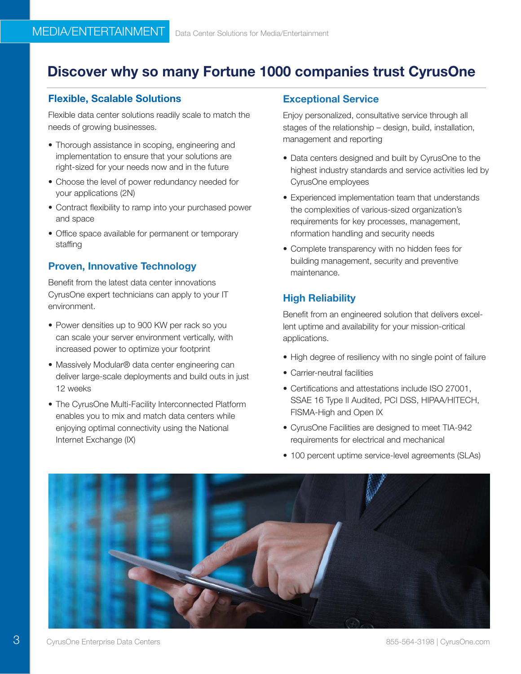# Discover why so many Fortune 1000 companies trust CyrusOne

## Flexible, Scalable Solutions

Flexible data center solutions readily scale to match the needs of growing businesses.

- Thorough assistance in scoping, engineering and implementation to ensure that your solutions are right-sized for your needs now and in the future
- Choose the level of power redundancy needed for your applications (2N)
- Contract flexibility to ramp into your purchased power and space
- Office space available for permanent or temporary staffing

# Proven, Innovative Technology

Benefit from the latest data center innovations CyrusOne expert technicians can apply to your IT environment.

- Power densities up to 900 KW per rack so you can scale your server environment vertically, with increased power to optimize your footprint
- Massively Modular® data center engineering can deliver large-scale deployments and build outs in just 12 weeks
- The CyrusOne Multi-Facility Interconnected Platform enables you to mix and match data centers while enjoying optimal connectivity using the National Internet Exchange (IX)

#### Exceptional Service

Enjoy personalized, consultative service through all stages of the relationship – design, build, installation, management and reporting

- Data centers designed and built by CyrusOne to the highest industry standards and service activities led by CyrusOne employees
- Experienced implementation team that understands the complexities of various-sized organization's requirements for key processes, management, nformation handling and security needs
- Complete transparency with no hidden fees for building management, security and preventive maintenance.

# High Reliability

Benefit from an engineered solution that delivers excellent uptime and availability for your mission-critical applications.

- High degree of resiliency with no single point of failure
- Carrier-neutral facilities
- Certifications and attestations include ISO 27001, SSAE 16 Type II Audited, PCI DSS, HIPAA/HITECH, FISMA-High and Open IX
- CyrusOne Facilities are designed to meet TIA-942 requirements for electrical and mechanical
- 100 percent uptime service-level agreements (SLAs)